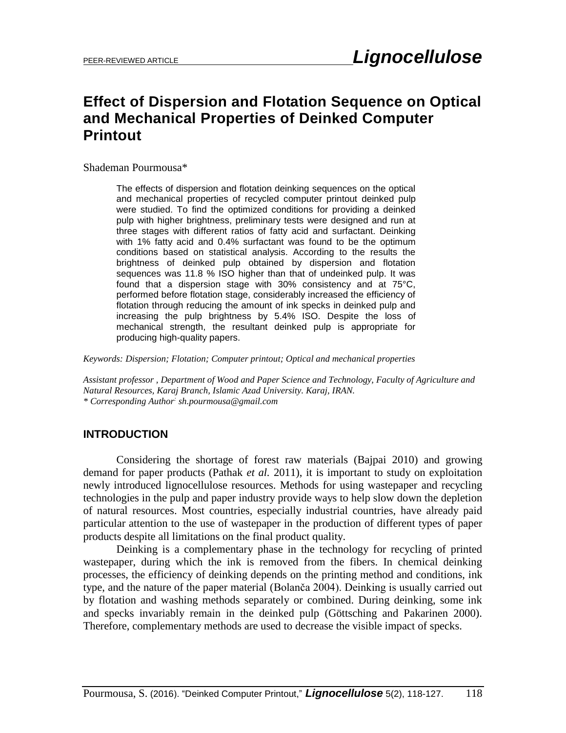# **Effect of Dispersion and Flotation Sequence on Optical and Mechanical Properties of Deinked Computer Printout**

Shademan Pourmousa\*

The effects of dispersion and flotation deinking sequences on the optical and mechanical properties of recycled computer printout deinked pulp were studied. To find the optimized conditions for providing a deinked pulp with higher brightness, preliminary tests were designed and run at three stages with different ratios of fatty acid and surfactant. Deinking with 1% fatty acid and 0.4% surfactant was found to be the optimum conditions based on statistical analysis. According to the results the brightness of deinked pulp obtained by dispersion and flotation sequences was 11.8 % ISO higher than that of undeinked pulp. It was found that a dispersion stage with 30% consistency and at 75°C, performed before flotation stage, considerably increased the efficiency of flotation through reducing the amount of ink specks in deinked pulp and increasing the pulp brightness by 5.4% ISO. Despite the loss of mechanical strength, the resultant deinked pulp is appropriate for producing high-quality papers.

*Keywords: Dispersion; Flotation; Computer printout; Optical and mechanical properties* 

*Assistant professor , Department of Wood and Paper Science and Technology, Faculty of Agriculture and Natural Resources, Karaj Branch, Islamic Azad University. Karaj, IRAN. \* Corresponding Author: [sh.pourmousa@gmail.com](mailto:sh.pourmousa@gmail.com)*

#### **INTRODUCTION**

Considering the shortage of forest raw materials (Bajpai 2010) and growing demand for paper products (Pathak *et al.* 2011), it is important to study on exploitation newly introduced lignocellulose resources. Methods for using wastepaper and recycling technologies in the pulp and paper industry provide ways to help slow down the depletion of natural resources. Most countries, especially industrial countries, have already paid particular attention to the use of wastepaper in the production of different types of paper products despite all limitations on the final product quality.

Deinking is a complementary phase in the technology for recycling of printed wastepaper, during which the ink is removed from the fibers. In chemical deinking processes, the efficiency of deinking depends on the printing method and conditions, ink type, and the nature of the paper material (Bolanča 2004). Deinking is usually carried out by flotation and washing methods separately or combined. During deinking, some ink and specks invariably remain in the deinked pulp (Göttsching and Pakarinen 2000). Therefore, complementary methods are used to decrease the visible impact of specks.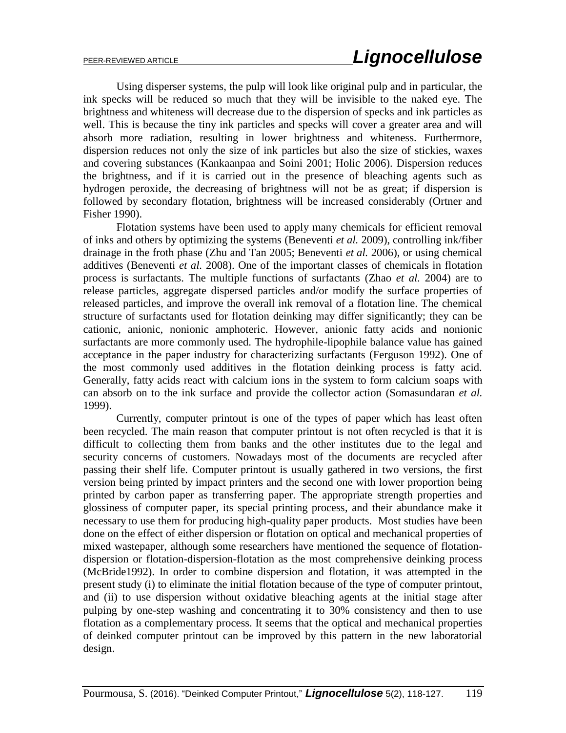Using disperser systems, the pulp will look like original pulp and in particular, the ink specks will be reduced so much that they will be invisible to the naked eye. The brightness and whiteness will decrease due to the dispersion of specks and ink particles as well. This is because the tiny ink particles and specks will cover a greater area and will absorb more radiation, resulting in lower brightness and whiteness. Furthermore, dispersion reduces not only the size of ink particles but also the size of stickies, waxes and covering substances (Kankaanpaa and Soini 2001; Holic 2006). Dispersion reduces the brightness, and if it is carried out in the presence of bleaching agents such as hydrogen peroxide, the decreasing of brightness will not be as great; if dispersion is followed by secondary flotation, brightness will be increased considerably (Ortner and Fisher 1990).

Flotation systems have been used to apply many chemicals for efficient removal of inks and others by optimizing the systems (Beneventi *et al.* 2009), controlling ink/fiber drainage in the froth phase (Zhu and Tan 2005; Beneventi *et al.* 2006), or using chemical additives (Beneventi *et al.* 2008). One of the important classes of chemicals in flotation process is surfactants. The multiple functions of surfactants (Zhao *et al.* 2004) are to release particles, aggregate dispersed particles and/or modify the surface properties of released particles, and improve the overall ink removal of a flotation line. The chemical structure of surfactants used for flotation deinking may differ significantly; they can be cationic, anionic, nonionic amphoteric. However, anionic fatty acids and nonionic surfactants are more commonly used. The hydrophile-lipophile balance value has gained acceptance in the paper industry for characterizing surfactants (Ferguson 1992). One of the most commonly used additives in the flotation deinking process is fatty acid. Generally, fatty acids react with calcium ions in the system to form calcium soaps with can absorb on to the ink surface and provide the collector action (Somasundaran *et al.* 1999).

Currently, computer printout is one of the types of paper which has least often been recycled. The main reason that computer printout is not often recycled is that it is difficult to collecting them from banks and the other institutes due to the legal and security concerns of customers. Nowadays most of the documents are recycled after passing their shelf life. Computer printout is usually gathered in two versions, the first version being printed by impact printers and the second one with lower proportion being printed by carbon paper as transferring paper. The appropriate strength properties and glossiness of computer paper, its special printing process, and their abundance make it necessary to use them for producing high-quality paper products. Most studies have been done on the effect of either dispersion or flotation on optical and mechanical properties of mixed wastepaper, although some researchers have mentioned the sequence of flotationdispersion or flotation-dispersion-flotation as the most comprehensive deinking process (McBride1992). In order to combine dispersion and flotation, it was attempted in the present study (i) to eliminate the initial flotation because of the type of computer printout, and (ii) to use dispersion without oxidative bleaching agents at the initial stage after pulping by one-step washing and concentrating it to 30% consistency and then to use flotation as a complementary process. It seems that the optical and mechanical properties of deinked computer printout can be improved by this pattern in the new laboratorial design.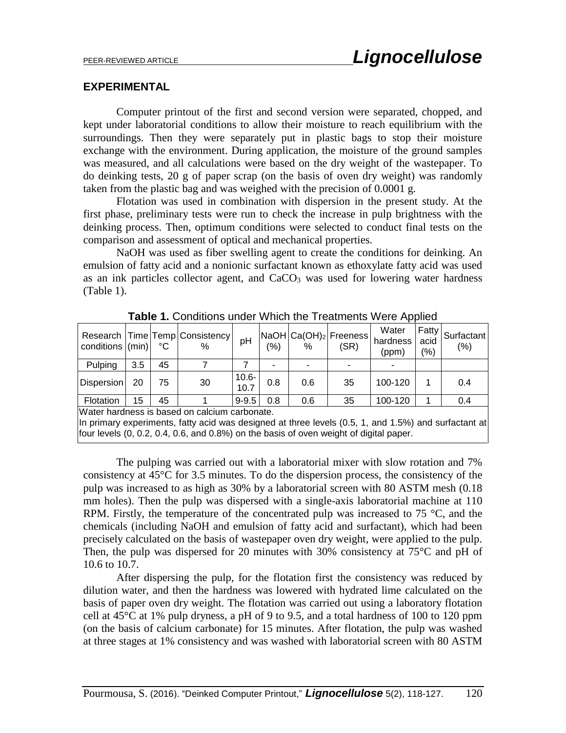#### **EXPERIMENTAL**

Computer printout of the first and second version were separated, chopped, and kept under laboratorial conditions to allow their moisture to reach equilibrium with the surroundings. Then they were separately put in plastic bags to stop their moisture exchange with the environment. During application, the moisture of the ground samples was measured, and all calculations were based on the dry weight of the wastepaper. To do deinking tests, 20 g of paper scrap (on the basis of oven dry weight) was randomly taken from the plastic bag and was weighed with the precision of 0.0001 g.

Flotation was used in combination with dispersion in the present study. At the first phase, preliminary tests were run to check the increase in pulp brightness with the deinking process. Then, optimum conditions were selected to conduct final tests on the comparison and assessment of optical and mechanical properties.

NaOH was used as fiber swelling agent to create the conditions for deinking. An emulsion of fatty acid and a nonionic surfactant known as ethoxylate fatty acid was used as an ink particles collector agent, and CaCO<sub>3</sub> was used for lowering water hardness (Table 1).

| conditions (min)                                                                                      |     | °C | Research   Time   Temp   Consistency<br>$\%$ | pH               | (%) | %   | NaOH Ca(OH) <sub>2</sub>  Freeness <br>(SR) | Water<br>hardness<br>(ppm) | acid<br>(%) | Fatty Surfactant<br>(% ) |
|-------------------------------------------------------------------------------------------------------|-----|----|----------------------------------------------|------------------|-----|-----|---------------------------------------------|----------------------------|-------------|--------------------------|
| Pulping                                                                                               | 3.5 | 45 |                                              |                  |     |     |                                             |                            |             |                          |
| Dispersion                                                                                            | 20  | 75 | 30                                           | $10.6 -$<br>10.7 | 0.8 | 0.6 | 35                                          | 100-120                    |             | 0.4                      |
| Flotation                                                                                             | 15  | 45 |                                              | $9 - 9.5$        | 0.8 | 0.6 | 35                                          | 100-120                    |             | 0.4                      |
| Water hardness is based on calcium carbonate.                                                         |     |    |                                              |                  |     |     |                                             |                            |             |                          |
| lln primary experiments, fatty acid was designed at three levels (0.5, 1, and 1.5%) and surfactant at |     |    |                                              |                  |     |     |                                             |                            |             |                          |

**Table 1.** Conditions under Which the Treatments Were Applied

 $\mathsf{Pins}, \mathsf{Taitly}$  acid was designed at three levels  $(0.5, 1,$  and  $1.5\%)$ four levels (0, 0.2, 0.4, 0.6, and 0.8%) on the basis of oven weight of digital paper.

The pulping was carried out with a laboratorial mixer with slow rotation and 7% consistency at 45°C for 3.5 minutes. To do the dispersion process, the consistency of the pulp was increased to as high as 30% by a laboratorial screen with 80 ASTM mesh (0.18 mm holes). Then the pulp was dispersed with a single-axis laboratorial machine at 110 RPM. Firstly, the temperature of the concentrated pulp was increased to 75 °C, and the chemicals (including NaOH and emulsion of fatty acid and surfactant), which had been precisely calculated on the basis of wastepaper oven dry weight, were applied to the pulp. Then, the pulp was dispersed for 20 minutes with 30% consistency at 75°C and pH of 10.6 to 10.7.

After dispersing the pulp, for the flotation first the consistency was reduced by dilution water, and then the hardness was lowered with hydrated lime calculated on the basis of paper oven dry weight. The flotation was carried out using a laboratory flotation cell at  $45^{\circ}$ C at 1% pulp dryness, a pH of 9 to 9.5, and a total hardness of 100 to 120 ppm (on the basis of calcium carbonate) for 15 minutes. After flotation, the pulp was washed at three stages at 1% consistency and was washed with laboratorial screen with 80 ASTM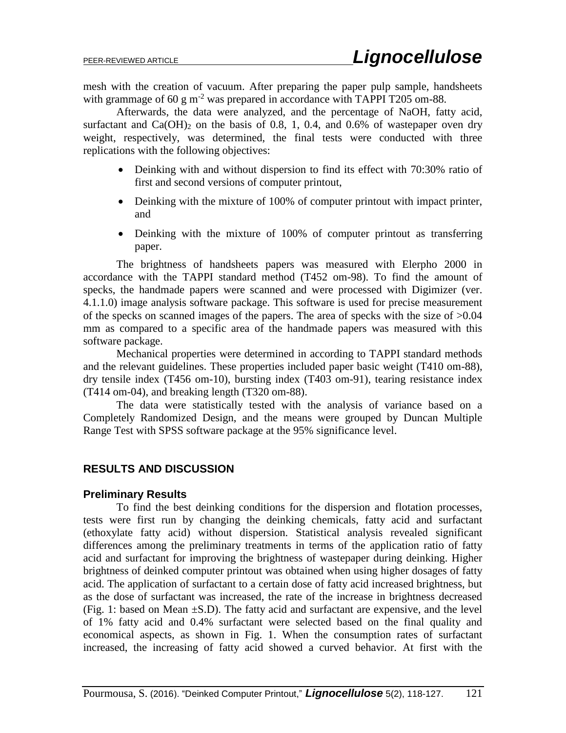mesh with the creation of vacuum. After preparing the paper pulp sample, handsheets with grammage of 60 g  $m^{-2}$  was prepared in accordance with TAPPI T205 om-88.

Afterwards, the data were analyzed, and the percentage of NaOH, fatty acid, surfactant and  $Ca(OH)_2$  on the basis of 0.8, 1, 0.4, and 0.6% of wastepaper oven dry weight, respectively, was determined, the final tests were conducted with three replications with the following objectives:

- Deinking with and without dispersion to find its effect with 70:30% ratio of first and second versions of computer printout,
- Deinking with the mixture of 100% of computer printout with impact printer, and
- Deinking with the mixture of 100% of computer printout as transferring paper.

The brightness of handsheets papers was measured with Elerpho 2000 in accordance with the TAPPI standard method (T452 om-98). To find the amount of specks, the handmade papers were scanned and were processed with Digimizer (ver. 4.1.1.0) image analysis software package. This software is used for precise measurement of the specks on scanned images of the papers. The area of specks with the size of >0.04 mm as compared to a specific area of the handmade papers was measured with this software package.

Mechanical properties were determined in according to TAPPI standard methods and the relevant guidelines. These properties included paper basic weight (T410 om-88), dry tensile index (T456 om-10), bursting index (T403 om-91), tearing resistance index (T414 om-04), and breaking length (T320 om-88).

The data were statistically tested with the analysis of variance based on a Completely Randomized Design, and the means were grouped by Duncan Multiple Range Test with SPSS software package at the 95% significance level.

### **RESULTS AND DISCUSSION**

#### **Preliminary Results**

To find the best deinking conditions for the dispersion and flotation processes, tests were first run by changing the deinking chemicals, fatty acid and surfactant (ethoxylate fatty acid) without dispersion. Statistical analysis revealed significant differences among the preliminary treatments in terms of the application ratio of fatty acid and surfactant for improving the brightness of wastepaper during deinking. Higher brightness of deinked computer printout was obtained when using higher dosages of fatty acid. The application of surfactant to a certain dose of fatty acid increased brightness, but as the dose of surfactant was increased, the rate of the increase in brightness decreased (Fig. 1: based on Mean ±S.D). The fatty acid and surfactant are expensive, and the level of 1% fatty acid and 0.4% surfactant were selected based on the final quality and economical aspects, as shown in Fig. 1. When the consumption rates of surfactant increased, the increasing of fatty acid showed a curved behavior. At first with the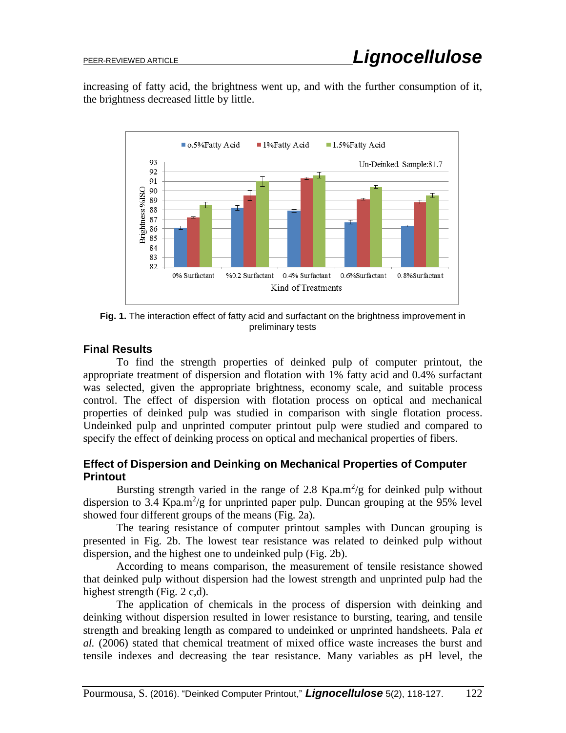increasing of fatty acid, the brightness went up, and with the further consumption of it, the brightness decreased little by little.



**Fig. 1.** The interaction effect of fatty acid and surfactant on the brightness improvement in preliminary tests

## **Final Results**

To find the strength properties of deinked pulp of computer printout, the appropriate treatment of dispersion and flotation with 1% fatty acid and 0.4% surfactant was selected, given the appropriate brightness, economy scale, and suitable process control. The effect of dispersion with flotation process on optical and mechanical properties of deinked pulp was studied in comparison with single flotation process. Undeinked pulp and unprinted computer printout pulp were studied and compared to specify the effect of deinking process on optical and mechanical properties of fibers.

## **Effect of Dispersion and Deinking on Mechanical Properties of Computer Printout**

Bursting strength varied in the range of 2.8 Kpa.m<sup>2</sup>/g for deinked pulp without dispersion to 3.4 Kpa.m<sup>2</sup>/g for unprinted paper pulp. Duncan grouping at the 95% level showed four different groups of the means (Fig. 2a).

The tearing resistance of computer printout samples with Duncan grouping is presented in Fig. 2b. The lowest tear resistance was related to deinked pulp without dispersion, and the highest one to undeinked pulp (Fig. 2b).

According to means comparison, the measurement of tensile resistance showed that deinked pulp without dispersion had the lowest strength and unprinted pulp had the highest strength (Fig. 2 c,d).

The application of chemicals in the process of dispersion with deinking and deinking without dispersion resulted in lower resistance to bursting, tearing, and tensile strength and breaking length as compared to undeinked or unprinted handsheets. Pala *et al.* (2006) stated that chemical treatment of mixed office waste increases the burst and tensile indexes and decreasing the tear resistance. Many variables as pH level, the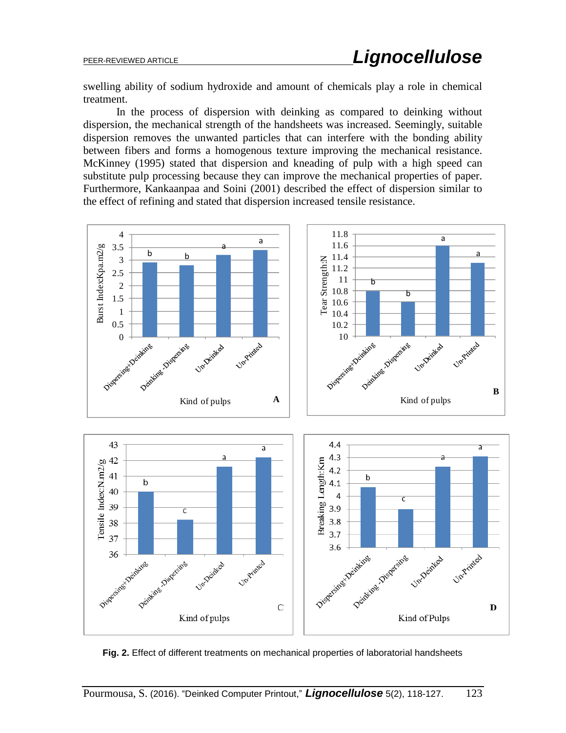swelling ability of sodium hydroxide and amount of chemicals play a role in chemical treatment.

In the process of dispersion with deinking as compared to deinking without dispersion, the mechanical strength of the handsheets was increased. Seemingly, suitable dispersion removes the unwanted particles that can interfere with the bonding ability between fibers and forms a homogenous texture improving the mechanical resistance. McKinney (1995) stated that dispersion and kneading of pulp with a high speed can substitute pulp processing because they can improve the mechanical properties of paper. Furthermore, Kankaanpaa and Soini (2001) described the effect of dispersion similar to the effect of refining and stated that dispersion increased tensile resistance.



**Fig. 2.** Effect of different treatments on mechanical properties of laboratorial handsheets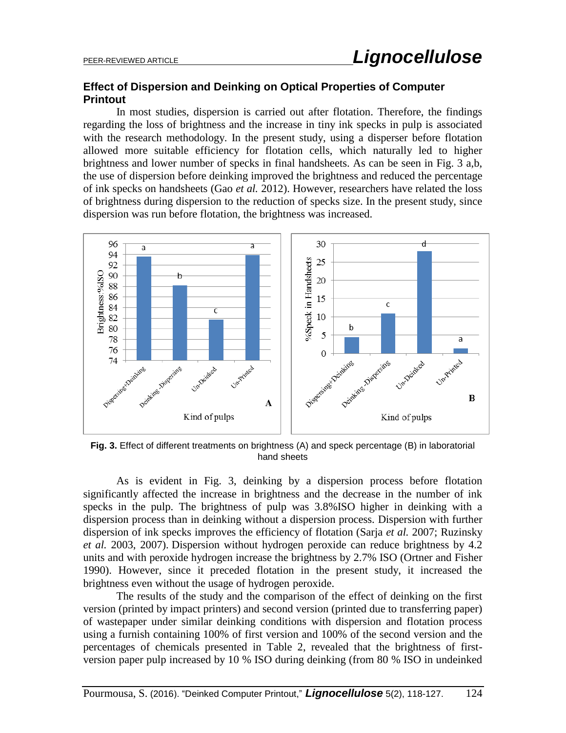## **Effect of Dispersion and Deinking on Optical Properties of Computer Printout**

In most studies, dispersion is carried out after flotation. Therefore, the findings regarding the loss of brightness and the increase in tiny ink specks in pulp is associated with the research methodology. In the present study, using a disperser before flotation allowed more suitable efficiency for flotation cells, which naturally led to higher brightness and lower number of specks in final handsheets. As can be seen in Fig. 3 a,b, the use of dispersion before deinking improved the brightness and reduced the percentage of ink specks on handsheets (Gao *et al.* 2012). However, researchers have related the loss of brightness during dispersion to the reduction of specks size. In the present study, since dispersion was run before flotation, the brightness was increased.



**Fig. 3.** Effect of different treatments on brightness (A) and speck percentage (B) in laboratorial hand sheets

As is evident in Fig. 3, deinking by a dispersion process before flotation significantly affected the increase in brightness and the decrease in the number of ink specks in the pulp. The brightness of pulp was 3.8%ISO higher in deinking with a dispersion process than in deinking without a dispersion process. Dispersion with further dispersion of ink specks improves the efficiency of flotation (Sarja *et al.* 2007; Ruzinsky *et al.* 2003, 2007). Dispersion without hydrogen peroxide can reduce brightness by 4.2 units and with peroxide hydrogen increase the brightness by 2.7% ISO (Ortner and Fisher 1990). However, since it preceded flotation in the present study, it increased the brightness even without the usage of hydrogen peroxide.

The results of the study and the comparison of the effect of deinking on the first version (printed by impact printers) and second version (printed due to transferring paper) of wastepaper under similar deinking conditions with dispersion and flotation process using a furnish containing 100% of first version and 100% of the second version and the percentages of chemicals presented in Table 2, revealed that the brightness of firstversion paper pulp increased by 10 % ISO during deinking (from 80 % ISO in undeinked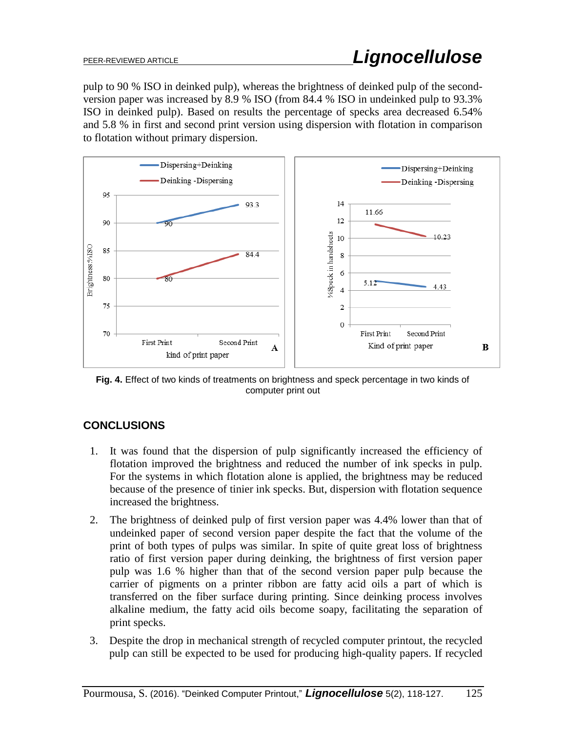pulp to 90 % ISO in deinked pulp), whereas the brightness of deinked pulp of the secondversion paper was increased by 8.9 % ISO (from 84.4 % ISO in undeinked pulp to 93.3% ISO in deinked pulp). Based on results the percentage of specks area decreased 6.54% and 5.8 % in first and second print version using dispersion with flotation in comparison to flotation without primary dispersion.



**Fig. 4.** Effect of two kinds of treatments on brightness and speck percentage in two kinds of computer print out

## **CONCLUSIONS**

- 1. It was found that the dispersion of pulp significantly increased the efficiency of flotation improved the brightness and reduced the number of ink specks in pulp. For the systems in which flotation alone is applied, the brightness may be reduced because of the presence of tinier ink specks. But, dispersion with flotation sequence increased the brightness.
- 2. The brightness of deinked pulp of first version paper was 4.4% lower than that of undeinked paper of second version paper despite the fact that the volume of the print of both types of pulps was similar. In spite of quite great loss of brightness ratio of first version paper during deinking, the brightness of first version paper pulp was 1.6 % higher than that of the second version paper pulp because the carrier of pigments on a printer ribbon are fatty acid oils a part of which is transferred on the fiber surface during printing. Since deinking process involves alkaline medium, the fatty acid oils become soapy, facilitating the separation of print specks.
- 3. Despite the drop in mechanical strength of recycled computer printout, the recycled pulp can still be expected to be used for producing high-quality papers. If recycled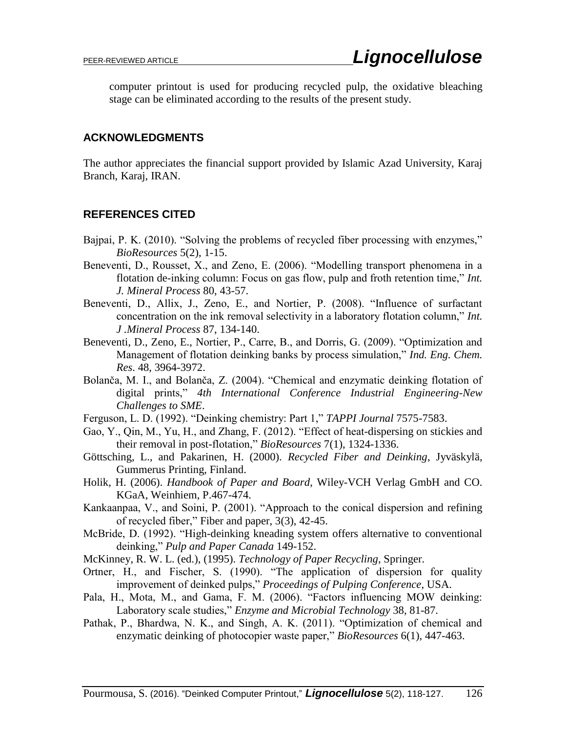computer printout is used for producing recycled pulp, the oxidative bleaching stage can be eliminated according to the results of the present study.

#### **ACKNOWLEDGMENTS**

The author appreciates the financial support provided by Islamic Azad University, Karaj Branch, Karaj, IRAN.

### **REFERENCES CITED**

- Bajpai, P. K. (2010). "Solving the problems of recycled fiber processing with enzymes," *BioResources* 5(2), 1-15.
- Beneventi, D., Rousset, X., and Zeno, E. (2006). "Modelling transport phenomena in a flotation de-inking column: Focus on gas flow, pulp and froth retention time," *Int. J. Mineral Process* 80, 43-57.
- Beneventi, D., Allix, J., Zeno, E., and Nortier, P. (2008). "Influence of surfactant concentration on the ink removal selectivity in a laboratory flotation column," *Int. J .Mineral Process* 87, 134-140.
- Beneventi, D., Zeno, E., Nortier, P., Carre, B., and Dorris, G. (2009). "Optimization and Management of flotation deinking banks by process simulation," *Ind. Eng. Chem. Res*. 48, 3964-3972.
- Bolanča, M. I., and Bolanča, Z. (2004). "Chemical and enzymatic deinking flotation of digital prints," *4th International Conference Industrial Engineering-New Challenges to SME*.
- Ferguson, L. D. (1992). "Deinking chemistry: Part 1," *TAPPI Journal* 7575-7583.
- Gao, Y., Qin, M., Yu, H., and Zhang, F. (2012). "Effect of heat-dispersing on stickies and their removal in post-flotation," *BioResources* 7(1), 1324-1336.
- Göttsching, L., and Pakarinen, H. (2000). *Recycled Fiber and Deinking*, Jyväskylä, Gummerus Printing, Finland.
- Holik, H. (2006). *Handbook of Paper and Board*, Wiley-VCH Verlag GmbH and CO. KGaA, Weinhiem, P.467-474.
- Kankaanpaa, V., and Soini, P. (2001). "Approach to the conical dispersion and refining of recycled fiber," Fiber and paper, 3(3), 42-45.
- McBride, D. (1992). "High-deinking kneading system offers alternative to conventional deinking," *Pulp and Paper Canada* 149-152.
- McKinney, R. W. L. (ed.), (1995). *Technology of Paper Recycling*, Springer.
- Ortner, H., and Fischer, S. (1990). "The application of dispersion for quality improvement of deinked pulps," *Proceedings of Pulping Conference*, USA.
- Pala, H., Mota, M., and Gama, F. M. (2006). "Factors influencing MOW deinking: Laboratory scale studies," *Enzyme and Microbial Technology* 38, 81-87.
- Pathak, P., Bhardwa, N. K., and Singh, A. K. (2011). "Optimization of chemical and enzymatic deinking of photocopier waste paper," *BioResources* 6(1), 447-463.